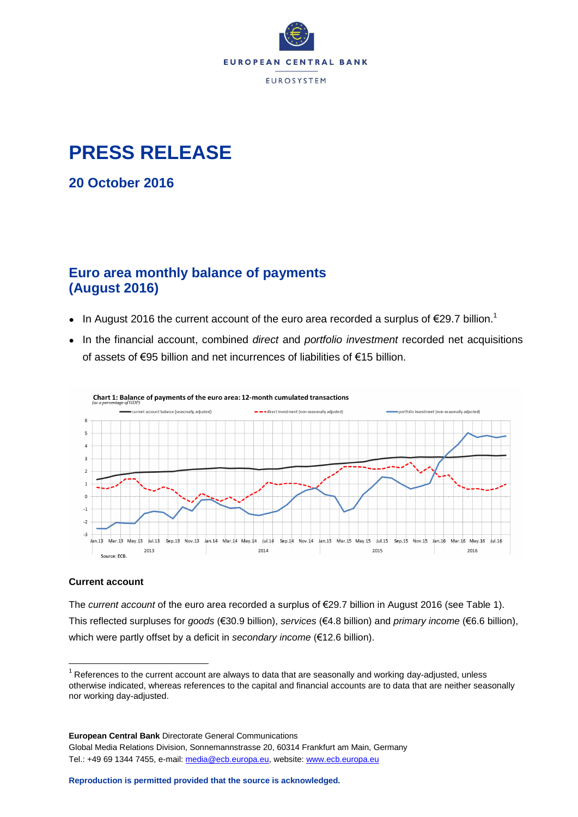

## **PRESS RELEASE**

**20 October 2016**

### **Euro area monthly balance of payments (August 2016)**

- In August 2016 the current account of the euro area recorded a surplus of  $\epsilon$ 29.7 billion.<sup>1</sup>
- In the financial account, combined *direct* and *portfolio investment* recorded net acquisitions of assets of €95 billion and net incurrences of liabilities of €15 billion.



Chart 1: Balance of payments of the euro area: 12-month cumulated transactions

#### **Current account**

 $\overline{a}$ 

The *current account* of the euro area recorded a surplus of €29.7 billion in August 2016 (see Table 1). This reflected surpluses for *goods* (€30.9 billion), *services* (€4.8 billion) and *primary income* (€6.6 billion), which were partly offset by a deficit in *secondary income* (€12.6 billion).

 $1$  References to the current account are always to data that are seasonally and working day-adjusted, unless otherwise indicated, whereas references to the capital and financial accounts are to data that are neither seasonally nor working day-adjusted.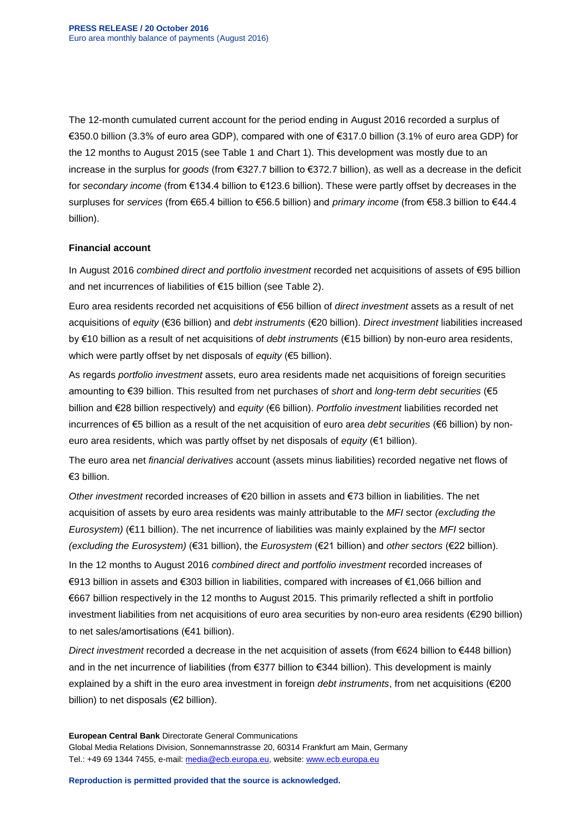The 12-month cumulated current account for the period ending in August 2016 recorded a surplus of €350.0 billion (3.3% of euro area GDP), compared with one of €317.0 billion (3.1% of euro area GDP) for the 12 months to August 2015 (see Table 1 and Chart 1). This development was mostly due to an increase in the surplus for *goods* (from €327.7 billion to €372.7 billion), as well as a decrease in the deficit for *secondary income* (from €134.4 billion to €123.6 billion). These were partly offset by decreases in the surpluses for *services* (from €65.4 billion to €56.5 billion) and *primary income* (from €58.3 billion to €44.4 billion).

#### **Financial account**

In August 2016 *combined direct and portfolio investment* recorded net acquisitions of assets of €95 billion and net incurrences of liabilities of €15 billion (see Table 2).

Euro area residents recorded net acquisitions of €56 billion of *direct investment* assets as a result of net acquisitions of *equity* (€36 billion) and *debt instruments* (€20 billion). *Direct investment* liabilities increased by €10 billion as a result of net acquisitions of *debt instruments* (€15 billion) by non-euro area residents, which were partly offset by net disposals of *equity* (€5 billion).

As regards *portfolio investment* assets, euro area residents made net acquisitions of foreign securities amounting to €39 billion. This resulted from net purchases of *short* and *long-term debt securities* (€5 billion and €28 billion respectively) and *equity* (€6 billion). *Portfolio investment* liabilities recorded net incurrences of €5 billion as a result of the net acquisition of euro area *debt securities* (€6 billion) by noneuro area residents, which was partly offset by net disposals of *equity* (€1 billion).

The euro area net *financial derivatives* account (assets minus liabilities) recorded negative net flows of €3 billion.

*Other investment* recorded increases of €20 billion in assets and €73 billion in liabilities. The net acquisition of assets by euro area residents was mainly attributable to the *MFI* sector *(excluding the Eurosystem)* (€11 billion). The net incurrence of liabilities was mainly explained by the *MFI* sector *(excluding the Eurosystem)* (€31 billion), the *Eurosystem* (€21 billion) and *other sectors* (€22 billion).

In the 12 months to August 2016 *combined direct and portfolio investment* recorded increases of €913 billion in assets and €303 billion in liabilities, compared with increases of €1,066 billion and €667 billion respectively in the 12 months to August 2015. This primarily reflected a shift in portfolio investment liabilities from net acquisitions of euro area securities by non-euro area residents (€290 billion) to net sales/amortisations (€41 billion).

*Direct investment* recorded a decrease in the net acquisition of assets (from €624 billion to €448 billion) and in the net incurrence of liabilities (from €377 billion to €344 billion). This development is mainly explained by a shift in the euro area investment in foreign *debt instruments*, from net acquisitions (€200 billion) to net disposals (€2 billion).

**European Central Bank** Directorate General Communications Global Media Relations Division, Sonnemannstrasse 20, 60314 Frankfurt am Main, Germany Tel.: +49 69 1344 7455, e-mail: [media@ecb.europa.eu,](mailto:media@ecb.europa.eu) website[: www.ecb.europa.eu](http://www.ecb.europa.eu/)

**Reproduction is permitted provided that the source is acknowledged.**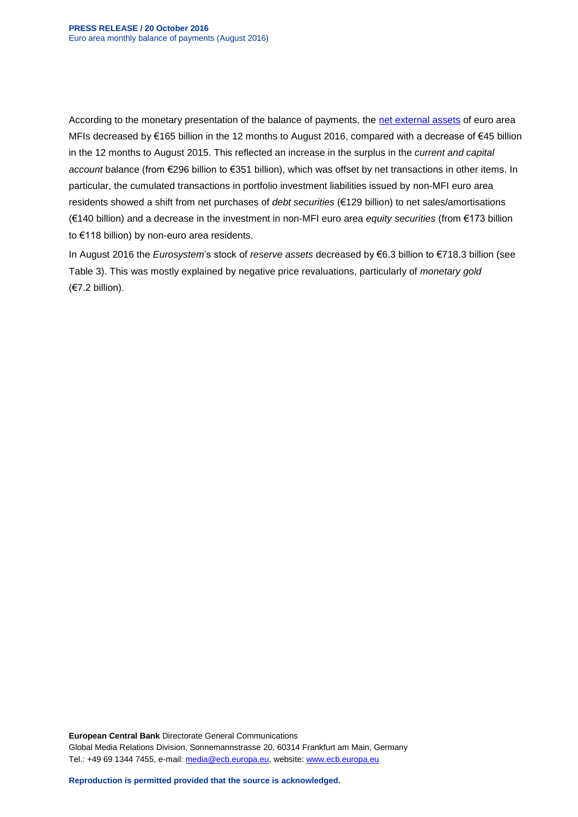According to the monetary presentation of the balance of payments, the [net external assets](http://sdw.ecb.europa.eu/reports.do?node=100000217) of euro area MFIs decreased by €165 billion in the 12 months to August 2016, compared with a decrease of €45 billion in the 12 months to August 2015. This reflected an increase in the surplus in the *current and capital account* balance (from €296 billion to €351 billion), which was offset by net transactions in other items. In particular, the cumulated transactions in portfolio investment liabilities issued by non-MFI euro area residents showed a shift from net purchases of *debt securities* (€129 billion) to net sales/amortisations (€140 billion) and a decrease in the investment in non-MFI euro area *equity securities* (from €173 billion to €118 billion) by non-euro area residents.

In August 2016 the *Eurosystem*'s stock of *reserve assets* decreased by €6.3 billion to €718.3 billion (see Table 3). This was mostly explained by negative price revaluations, particularly of *monetary gold* (€7.2 billion).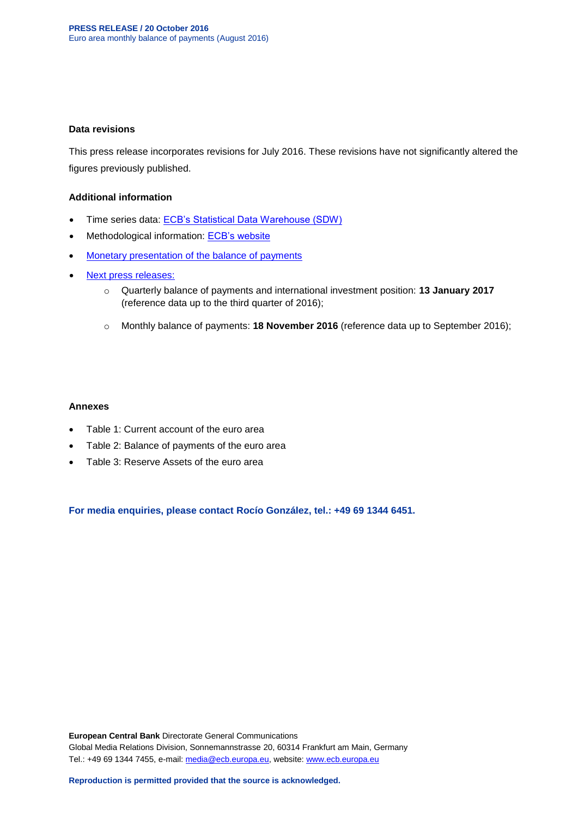#### **Data revisions**

This press release incorporates revisions for July 2016. These revisions have not significantly altered the figures previously published.

#### **Additional information**

- Time series data: [ECB's Statistical Data Warehouse \(SDW\)](http://sdw.ecb.europa.eu/browse.do?node=9691138)
- Methodological information: [ECB's website](http://www.ecb.europa.eu/stats/external/balance/html/index.en.html)
- [Monetary presentation of the balance of payments](http://sdw.ecb.europa.eu/reports.do?node=100000217)
- [Next press releases:](https://www.ecb.europa.eu/press/calendars/statscal/ext/html/stprbp.en.html)
	- o Quarterly balance of payments and international investment position: **13 January 2017** (reference data up to the third quarter of 2016);
	- o Monthly balance of payments: **18 November 2016** (reference data up to September 2016);

#### **Annexes**

- Table 1: Current account of the euro area
- Table 2: Balance of payments of the euro area
- Table 3: Reserve Assets of the euro area

**For media enquiries, please contact Rocío González, tel.: +49 69 1344 6451.**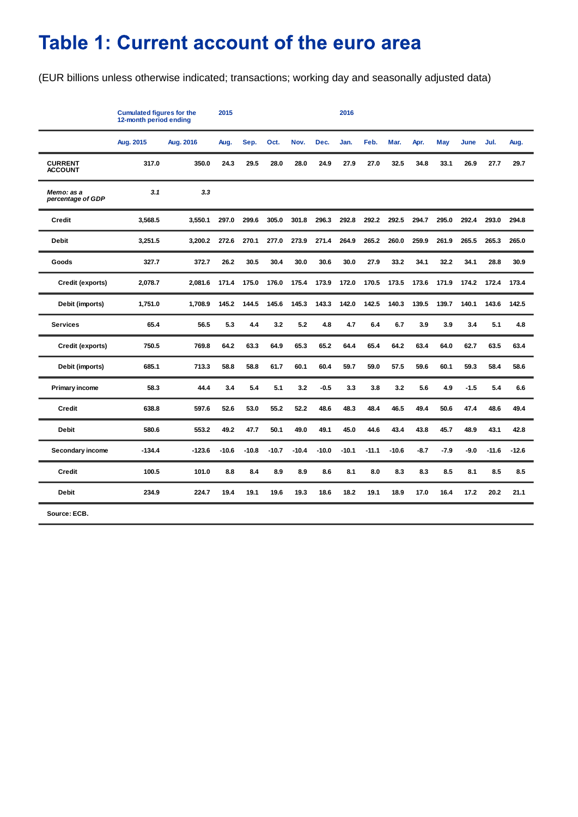# Table 1: Current account of the euro area

(EUR billions unless otherwise indicated; transactions; working day and seasonally adjusted data)

|                                  | <b>Cumulated figures for the</b><br>12-month period ending | 2015<br>2016 |         |         |         |         |         |         |         |         |        |        |        |         |         |
|----------------------------------|------------------------------------------------------------|--------------|---------|---------|---------|---------|---------|---------|---------|---------|--------|--------|--------|---------|---------|
|                                  | Aug. 2015                                                  | Aug. 2016    | Aug.    | Sep.    | Oct.    | Nov.    | Dec.    | Jan.    | Feb.    | Mar.    | Apr.   | May    | June   | Jul.    | Aug.    |
| <b>CURRENT</b><br><b>ACCOUNT</b> | 317.0                                                      | 350.0        | 24.3    | 29.5    | 28.0    | 28.0    | 24.9    | 27.9    | 27.0    | 32.5    | 34.8   | 33.1   | 26.9   | 27.7    | 29.7    |
| Memo: as a<br>percentage of GDP  | 3.1                                                        | 3.3          |         |         |         |         |         |         |         |         |        |        |        |         |         |
| <b>Credit</b>                    | 3,568.5                                                    | 3,550.1      | 297.0   | 299.6   | 305.0   | 301.8   | 296.3   | 292.8   | 292.2   | 292.5   | 294.7  | 295.0  | 292.4  | 293.0   | 294.8   |
| <b>Debit</b>                     | 3,251.5                                                    | 3,200.2      | 272.6   | 270.1   | 277.0   | 273.9   | 271.4   | 264.9   | 265.2   | 260.0   | 259.9  | 261.9  | 265.5  | 265.3   | 265.0   |
| Goods                            | 327.7                                                      | 372.7        | 26.2    | 30.5    | 30.4    | 30.0    | 30.6    | 30.0    | 27.9    | 33.2    | 34.1   | 32.2   | 34.1   | 28.8    | 30.9    |
| Credit (exports)                 | 2,078.7                                                    | 2,081.6      | 171.4   | 175.0   | 176.0   | 175.4   | 173.9   | 172.0   | 170.5   | 173.5   | 173.6  | 171.9  | 174.2  | 172.4   | 173.4   |
| Debit (imports)                  | 1,751.0                                                    | 1,708.9      | 145.2   | 144.5   | 145.6   | 145.3   | 143.3   | 142.0   | 142.5   | 140.3   | 139.5  | 139.7  | 140.1  | 143.6   | 142.5   |
| <b>Services</b>                  | 65.4                                                       | 56.5         | 5.3     | 4.4     | 3.2     | 5.2     | 4.8     | 4.7     | 6.4     | 6.7     | 3.9    | 3.9    | 3.4    | 5.1     | 4.8     |
| Credit (exports)                 | 750.5                                                      | 769.8        | 64.2    | 63.3    | 64.9    | 65.3    | 65.2    | 64.4    | 65.4    | 64.2    | 63.4   | 64.0   | 62.7   | 63.5    | 63.4    |
| Debit (imports)                  | 685.1                                                      | 713.3        | 58.8    | 58.8    | 61.7    | 60.1    | 60.4    | 59.7    | 59.0    | 57.5    | 59.6   | 60.1   | 59.3   | 58.4    | 58.6    |
| Primary income                   | 58.3                                                       | 44.4         | 3.4     | 5.4     | 5.1     | 3.2     | $-0.5$  | 3.3     | 3.8     | 3.2     | 5.6    | 4.9    | $-1.5$ | 5.4     | 6.6     |
| Credit                           | 638.8                                                      | 597.6        | 52.6    | 53.0    | 55.2    | 52.2    | 48.6    | 48.3    | 48.4    | 46.5    | 49.4   | 50.6   | 47.4   | 48.6    | 49.4    |
| <b>Debit</b>                     | 580.6                                                      | 553.2        | 49.2    | 47.7    | 50.1    | 49.0    | 49.1    | 45.0    | 44.6    | 43.4    | 43.8   | 45.7   | 48.9   | 43.1    | 42.8    |
| Secondary income                 | $-134.4$                                                   | $-123.6$     | $-10.6$ | $-10.8$ | $-10.7$ | $-10.4$ | $-10.0$ | $-10.1$ | $-11.1$ | $-10.6$ | $-8.7$ | $-7.9$ | $-9.0$ | $-11.6$ | $-12.6$ |
| <b>Credit</b>                    | 100.5                                                      | 101.0        | 8.8     | 8.4     | 8.9     | 8.9     | 8.6     | 8.1     | 8.0     | 8.3     | 8.3    | 8.5    | 8.1    | 8.5     | 8.5     |
| Debit                            | 234.9                                                      | 224.7        | 19.4    | 19.1    | 19.6    | 19.3    | 18.6    | 18.2    | 19.1    | 18.9    | 17.0   | 16.4   | 17.2   | 20.2    | 21.1    |
| Source: ECB.                     |                                                            |              |         |         |         |         |         |         |         |         |        |        |        |         |         |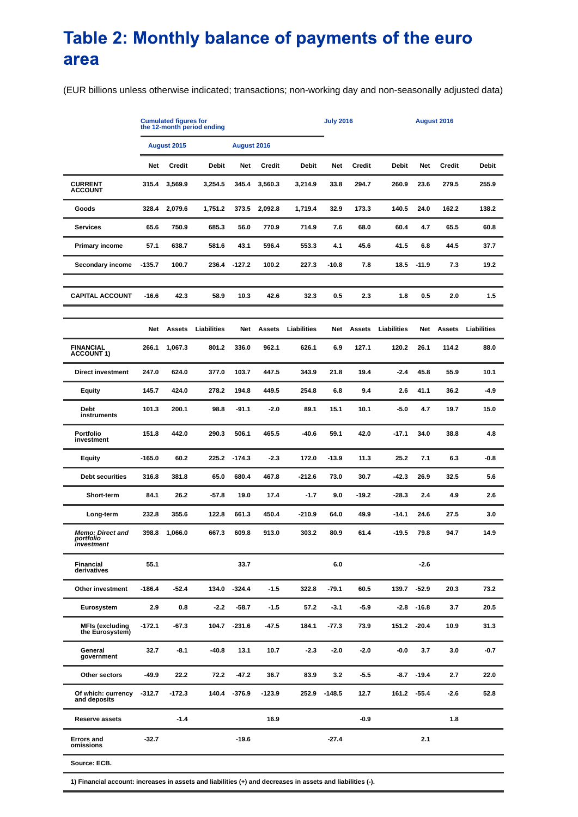### Table 2: Monthly balance of payments of the euro area

(EUR billions unless otherwise indicated; transactions; non-working day and non-seasonally adjusted data)

|                                                    | <b>Cumulated figures for<br/>the 12-month period ending</b> |               |             |              |               |              | <b>July 2016</b> |               |              | August 2016   |               |              |
|----------------------------------------------------|-------------------------------------------------------------|---------------|-------------|--------------|---------------|--------------|------------------|---------------|--------------|---------------|---------------|--------------|
|                                                    | August 2015                                                 |               |             | August 2016  |               |              |                  |               |              |               |               |              |
|                                                    | Net                                                         | Credit        | Debit       | Net          | <b>Credit</b> | <b>Debit</b> | <b>Net</b>       | <b>Credit</b> | <b>Debit</b> | Net           | Credit        | <b>Debit</b> |
| <b>CURRENT</b><br><b>ACCOUNT</b>                   | 315.4                                                       | 3,569.9       | 3,254.5     | 345.4        | 3,560.3       | 3,214.9      | 33.8             | 294.7         | 260.9        | 23.6          | 279.5         | 255.9        |
| Goods                                              | 328.4                                                       | 2,079.6       | 1,751.2     | 373.5        | 2,092.8       | 1,719.4      | 32.9             | 173.3         | 140.5        | 24.0          | 162.2         | 138.2        |
| <b>Services</b>                                    | 65.6                                                        | 750.9         | 685.3       | 56.0         | 770.9         | 714.9        | 7.6              | 68.0          | 60.4         | 4.7           | 65.5          | 60.8         |
| <b>Primary income</b>                              | 57.1                                                        | 638.7         | 581.6       | 43.1         | 596.4         | 553.3        | 4.1              | 45.6          | 41.5         | 6.8           | 44.5          | 37.7         |
| Secondary income                                   | $-135.7$                                                    | 100.7         | 236.4       | $-127.2$     | 100.2         | 227.3        | $-10.8$          | 7.8           | 18.5         | $-11.9$       | 7.3           | 19.2         |
| <b>CAPITAL ACCOUNT</b>                             | $-16.6$                                                     | 42.3          | 58.9        | 10.3         | 42.6          | 32.3         | 0.5              | 2.3           | 1.8          | 0.5           | 2.0           | 1.5          |
|                                                    | Net                                                         | <b>Assets</b> | Liabilities | Net          | <b>Assets</b> | Liabilities  | Net              | <b>Assets</b> | Liabilities  | Net           | <b>Assets</b> | Liabilities  |
| <b>FINANCIAL</b><br><b>ACCOUNT 1)</b>              | 266.1                                                       | 1,067.3       | 801.2       | 336.0        | 962.1         | 626.1        | 6.9              | 127.1         | 120.2        | 26.1          | 114.2         | 88.0         |
| <b>Direct investment</b>                           | 247.0                                                       | 624.0         | 377.0       | 103.7        | 447.5         | 343.9        | 21.8             | 19.4          | $-2.4$       | 45.8          | 55.9          | 10.1         |
| Equity                                             | 145.7                                                       | 424.0         | 278.2       | 194.8        | 449.5         | 254.8        | 6.8              | 9.4           | 2.6          | 41.1          | 36.2          | -4.9         |
| Debt<br>instruments                                | 101.3                                                       | 200.1         | 98.8        | -91.1        | $-2.0$        | 89.1         | 15.1             | 10.1          | $-5.0$       | 4.7           | 19.7          | 15.0         |
| Portfolio<br>investment                            | 151.8                                                       | 442.0         | 290.3       | 506.1        | 465.5         | $-40.6$      | 59.1             | 42.0          | $-17.1$      | 34.0          | 38.8          | 4.8          |
| Equity                                             | $-165.0$                                                    | 60.2          | 225.2       | $-174.3$     | $-2.3$        | 172.0        | $-13.9$          | 11.3          | 25.2         | 7.1           | 6.3           | $-0.8$       |
| <b>Debt securities</b>                             | 316.8                                                       | 381.8         | 65.0        | 680.4        | 467.8         | -212.6       | 73.0             | 30.7          | -42.3        | 26.9          | 32.5          | 5.6          |
| Short-term                                         | 84.1                                                        | 26.2          | $-57.8$     | 19.0         | 17.4          | $-1.7$       | 9.0              | -19.2         | -28.3        | 2.4           | 4.9           | 2.6          |
| Long-term                                          | 232.8                                                       | 355.6         | 122.8       | 661.3        | 450.4         | -210.9       | 64.0             | 49.9          | -14.1        | 24.6          | 27.5          | 3.0          |
| <b>Memo: Direct and</b><br>portfolio<br>investment | 398.8                                                       | 1,066.0       | 667.3       | 609.8        | 913.0         | 303.2        | 80.9             | 61.4          | $-19.5$      | 79.8          | 94.7          | 14.9         |
| Financial<br>derivatives                           | 55.1                                                        |               |             | 33.7         |               |              | 6.0              |               |              | $-2.6$        |               |              |
| Other investment                                   | $-186.4$                                                    | $-52.4$       | 134.0       | $-324.4$     | $-1.5$        | 322.8        | $-79.1$          | 60.5          |              | 139.7 -52.9   | 20.3          | 73.2         |
| Eurosystem                                         | 2.9                                                         | 0.8           | $-2.2$      | $-58.7$      | $-1.5$        | 57.2         | $-3.1$           | -5.9          | $-2.8$       | $-16.8$       | 3.7           | 20.5         |
| <b>MFIs (excluding</b><br>the Eurosystem)          | $-172.1$                                                    | $-67.3$       |             | 104.7 -231.6 | $-47.5$       | 184.1        | $-77.3$          | 73.9          | 151.2        | $-20.4$       | 10.9          | 31.3         |
| General<br>government                              | 32.7                                                        | $-8.1$        | $-40.8$     | 13.1         | 10.7          | $-2.3$       | $-2.0$           | $-2.0$        | $-0.0$       | 3.7           | 3.0           | -0.7         |
| Other sectors                                      | $-49.9$                                                     | 22.2          | 72.2        | $-47.2$      | 36.7          | 83.9         | 3.2              | $-5.5$        |              | $-8.7 - 19.4$ | 2.7           | 22.0         |
| Of which: currency<br>and deposits                 | $-312.7$                                                    | -172.3        | 140.4       | $-376.9$     | $-123.9$      | 252.9        | $-148.5$         | 12.7          |              | 161.2 -55.4   | -2.6          | 52.8         |
| Reserve assets                                     |                                                             | $-1.4$        |             |              | 16.9          |              |                  | $-0.9$        |              |               | 1.8           |              |
| <b>Errors and</b><br>omissions                     | $-32.7$                                                     |               |             | $-19.6$      |               |              | $-27.4$          |               |              | 2.1           |               |              |
| Source: ECB.                                       |                                                             |               |             |              |               |              |                  |               |              |               |               |              |

**1) Financial account: increases in assets and liabilities (+) and decreases in assets and liabilities (-).**